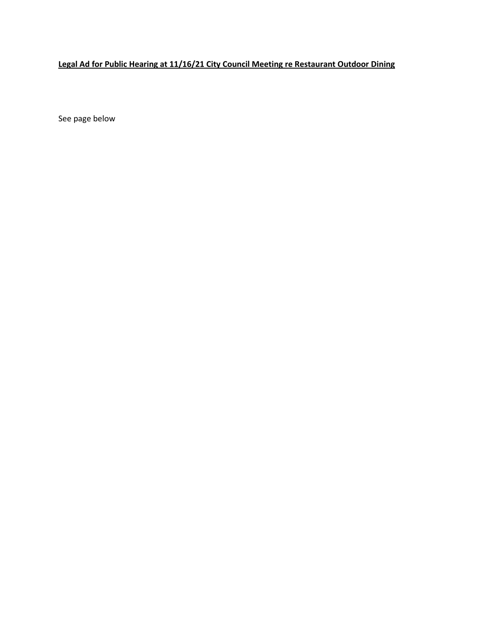## **Legal Ad for Public Hearing at 11/16/21 City Council Meeting re Restaurant Outdoor Dining**

See page below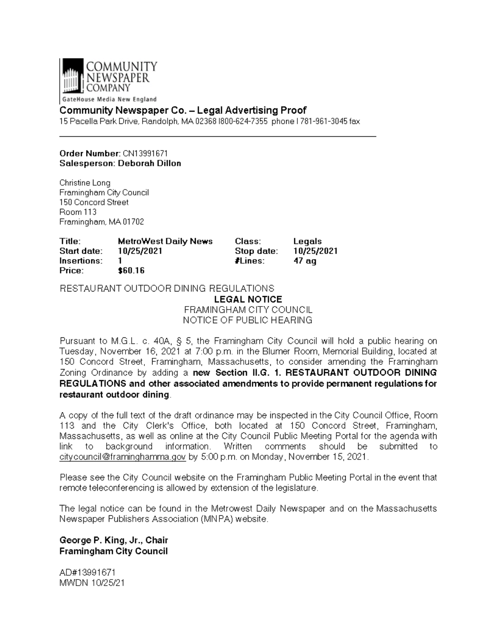

GateHouse Media New England

### **Community Newspaper Co. - Legal Advertising Proof**

15 Pacella Park Drive, Randolph, MA 02368 1800-624-7355 phone I 781-961-3045 fax

### Order Number: CN13991671 Salesperson: Deborah Dillon

Christine Long Framingham City Council 150 Concord Street Room 113 Framingham, MA 01702

| Title:      | <b>MetroWest Daily News</b> | Class:     | Legals     |
|-------------|-----------------------------|------------|------------|
| Start date: | 10/25/2021                  | Stop date: | 10/25/2021 |
| Insertions: |                             | ∦Lines:    | 47 ag      |
| Price:      | \$60.16                     |            |            |

RESTAURANT OUTDOOR DINING REGULATIONS

**LEGAL NOTICE** FRAMINGHAM CITY COUNCIL NOTICE OF PUBLIC HEARING

Pursuant to M.G.L. c. 40A, § 5, the Framingham City Council will hold a public hearing on Tuesday, November 16, 2021 at 7:00 p.m. in the Blumer Room, Memorial Building, located at 150 Concord Street, Framingham, Massachusetts, to consider amending the Framingham Zoning Ordinance by adding a new Section II.G. 1. RESTAURANT OUTDOOR DINING REGULATIONS and other associated amendments to provide permanent regulations for restaurant outdoor dining.

A copy of the full text of the draft ordinance may be inspected in the City Council Office, Room 113 and the City Clerk's Office, both located at 150 Concord Street, Framingham, Massachusetts, as well as online at the City Council Public Meeting Portal for the agenda with link to background information. Written comments should be submitted to citycouncil@framinghamma.gov by 5:00 p.m. on Monday, November 15, 2021.

Please see the City Council website on the Framingham Public Meeting Portal in the event that remote teleconferencing is allowed by extension of the legislature.

The legal notice can be found in the Metrowest Daily Newspaper and on the Massachusetts Newspaper Publishers Association (MNPA) website.

George P. King, Jr., Chair **Framingham City Council** 

AD#13991671 MWDN 10/25/21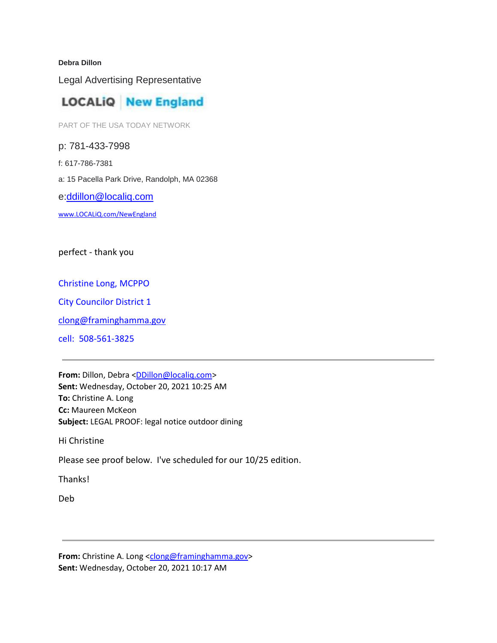#### **Debra Dillon**

Legal Advertising Representative

# **LOCALIQ New England**

PART OF THE USA TODAY NETWORK

p: 781-433-7998 f: 617-786-7381 a: 15 Pacella Park Drive, Randolph, MA 02368 e[:ddillon@localiq.com](mailto:ddillon@localiq.com)

[www.LOCALiQ.com/NewEngland](http://www.localiq.com/NewEngland)

perfect - thank you

### Christine Long, MCPPO

City Councilor District 1

[clong@framinghamma.gov](mailto:clong@framinghamma.gov)

cell: 508-561-3825

**From:** Dillon, Debra [<DDillon@localiq.com>](mailto:DDillon@localiq.com) **Sent:** Wednesday, October 20, 2021 10:25 AM **To:** Christine A. Long **Cc:** Maureen McKeon **Subject:** LEGAL PROOF: legal notice outdoor dining

Hi Christine

Please see proof below. I've scheduled for our 10/25 edition.

Thanks!

Deb

**From:** Christine A. Long [<clong@framinghamma.gov>](mailto:clong@framinghamma.gov) **Sent:** Wednesday, October 20, 2021 10:17 AM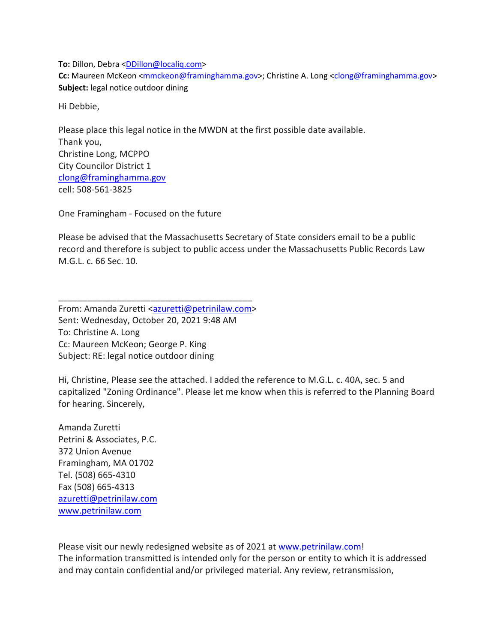**To:** Dillon, Debra [<DDillon@localiq.com>](mailto:DDillon@localiq.com) **Cc:** Maureen McKeon [<mmckeon@framinghamma.gov>](mailto:mmckeon@framinghamma.gov); Christine A. Long [<clong@framinghamma.gov>](mailto:clong@framinghamma.gov) **Subject:** legal notice outdoor dining

Hi Debbie,

Please place this legal notice in the MWDN at the first possible date available. Thank you, Christine Long, MCPPO City Councilor District 1 [clong@framinghamma.gov](mailto:clong@framinghamma.gov) cell: 508-561-3825

One Framingham - Focused on the future

Please be advised that the Massachusetts Secretary of State considers email to be a public record and therefore is subject to public access under the Massachusetts Public Records Law M.G.L. c. 66 Sec. 10.

From: Amanda Zuretti [<azuretti@petrinilaw.com>](mailto:azuretti@petrinilaw.com) Sent: Wednesday, October 20, 2021 9:48 AM To: Christine A. Long Cc: Maureen McKeon; George P. King Subject: RE: legal notice outdoor dining

\_\_\_\_\_\_\_\_\_\_\_\_\_\_\_\_\_\_\_\_\_\_\_\_\_\_\_\_\_\_\_\_\_\_\_\_\_\_\_\_

Hi, Christine, Please see the attached. I added the reference to M.G.L. c. 40A, sec. 5 and capitalized "Zoning Ordinance". Please let me know when this is referred to the Planning Board for hearing. Sincerely,

Amanda Zuretti Petrini & Associates, P.C. 372 Union Avenue Framingham, MA 01702 Tel. (508) 665-4310 Fax (508) 665-4313 [azuretti@petrinilaw.com](mailto:azuretti@petrinilaw.com) [www.petrinilaw.com](http://www.petrinilaw.com/)

Please visit our newly redesigned website as of 2021 at [www.petrinilaw.com!](http://www.petrinilaw.com/) The information transmitted is intended only for the person or entity to which it is addressed and may contain confidential and/or privileged material. Any review, retransmission,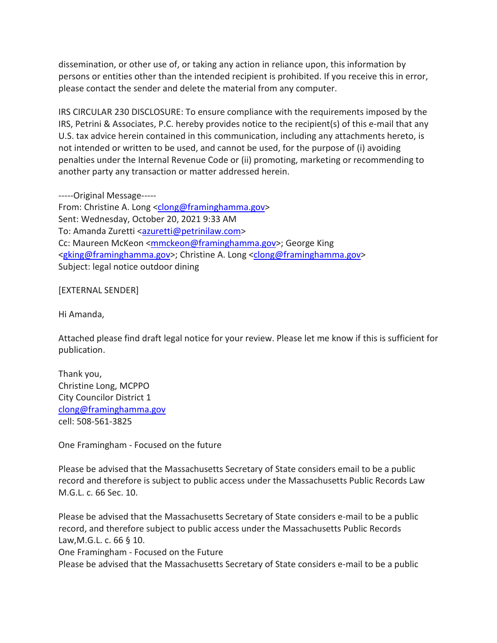dissemination, or other use of, or taking any action in reliance upon, this information by persons or entities other than the intended recipient is prohibited. If you receive this in error, please contact the sender and delete the material from any computer.

IRS CIRCULAR 230 DISCLOSURE: To ensure compliance with the requirements imposed by the IRS, Petrini & Associates, P.C. hereby provides notice to the recipient(s) of this e-mail that any U.S. tax advice herein contained in this communication, including any attachments hereto, is not intended or written to be used, and cannot be used, for the purpose of (i) avoiding penalties under the Internal Revenue Code or (ii) promoting, marketing or recommending to another party any transaction or matter addressed herein.

-----Original Message-----

From: Christine A. Long [<clong@framinghamma.gov>](mailto:clong@framinghamma.gov) Sent: Wednesday, October 20, 2021 9:33 AM To: Amanda Zuretti [<azuretti@petrinilaw.com>](mailto:azuretti@petrinilaw.com) Cc: Maureen McKeon [<mmckeon@framinghamma.gov>](mailto:mmckeon@framinghamma.gov); George King [<gking@framinghamma.gov>](mailto:gking@framinghamma.gov); Christine A. Long [<clong@framinghamma.gov>](mailto:clong@framinghamma.gov) Subject: legal notice outdoor dining

[EXTERNAL SENDER]

Hi Amanda,

Attached please find draft legal notice for your review. Please let me know if this is sufficient for publication.

Thank you, Christine Long, MCPPO City Councilor District 1 [clong@framinghamma.gov](mailto:clong@framinghamma.gov) cell: 508-561-3825

One Framingham - Focused on the future

Please be advised that the Massachusetts Secretary of State considers email to be a public record and therefore is subject to public access under the Massachusetts Public Records Law M.G.L. c. 66 Sec. 10.

Please be advised that the Massachusetts Secretary of State considers e-mail to be a public record, and therefore subject to public access under the Massachusetts Public Records Law,M.G.L. c. 66 § 10.

One Framingham - Focused on the Future

Please be advised that the Massachusetts Secretary of State considers e-mail to be a public